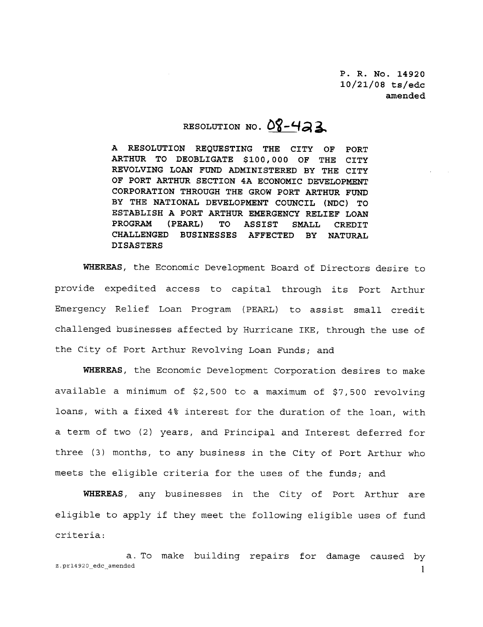P. R. No. 14920  $10/21/08$  ts/edc amended

## RESOLUTION NO.  $08 - 423$

<sup>A</sup> RESOLUTION REQUESTING THE CITY OF PORT ARTHUR TO DEOBLIGATE \$100,000 OF THE CITY REVOLVING LOAN FUND ADMINISTERED BY THE CITY OF PORT ARTHUR SECTION 4A ECONOMIC DEVELOPMENT CORPORATION THROUGH THE GROW PORT ARTHUR FUND RESOLUTION NO.  $OY - 47$ <br>
A RESOLUTION REQUESTING THE CITY OF PORT<br>
ARTHUR TO DEOBLIGATE \$100,000 OF THE CITY<br>
REVOLVING LOAN FUND ADMINISTERED BY THE CITY<br>
OF PORT ARTHUR SECTION 4A ECONOMIC DEVELOPMENT<br>
CORPORATION THROUG ESTABLISH A PORT ARTHUR EMERGENCY RELIEF LOAN<br>PROGRAM (PEARL) TO ASSIST SMALL CREDIT CHALLENGED BUSINESSES AFFECTED BY NATURAL DISASTERS PROGRAM (PEARL) TO ASSIST SMALL CREDIT<br>CHALLENGED BUSINESSES AFFECTED BY NATURAL<br>DISASTERS<br>WHEREAS, the Economic Development Board of Directors desire to

A RESOLUTION REQUESTING THE CITY OF PORT<br>ARTHUR TO DEOBLIGATE \$100,000 OF THE CITY<br>REVOLVING LOAN FUND ADMINISTERED BY THE CITY<br>OF PORT ARTHUR SECTION 4A ECONOMIC DEVELOPMENT<br>CORPORATION THROUGH THE GROW PORT ARTHUR FUND<br>B Emergency Relief Loan Program (PEARL) to assist small credit provide expedited access to capital through its Port Arthur<br>Emergency Relief Loan Program (PEARL) to assist small credit<br>challenged businesses affected by Hurricane IKE, through the use of<br>the City of Port Puthum Portlein the City of Port Arthur Revolving Loan Funds; and challenged businesses affected by Hurricane IKE, through the use of<br>the City of Port Arthur Revolving Loan Funds; and<br>WHEREAS, the Economic Development Corporation desires to make

available a minimum of \$2,500 to a maximum of \$7,500 revolving<br>loans, with a fixed 4% interest for the duration of the loan, with The City of Port Arthur Revolving Loan Funds; and<br>
WHEREAS, the Economic Development Corporation desires to make<br>
available a minimum of \$2,500 to a maximum of \$7,500 revolving<br>
loans, with a fixed 4% interest for the dura a term of two (2) years, and Principal and Interest deferred for three (3) months, to any business in the City of Port Arthur who meets the eligible criteria for the uses of the funds; and

WHEREAS, any businesses in the City of Port Arthur are WHEREAS, any businesses in the City of Port Arthur are<br>eligible to apply if they meet the following eligible uses of fund criteria three (3) mont<br>meets the elig<br>**WHEREAS,<br>eligible to ap<br>criteria:**<br>a<br>z.pr14920\_edc\_amended eligible to apply if they meet the following eligible uses of fund<br>criteria:<br>a. To make building repairs for damage caused by<br>z.pr14920\_edc\_amended 1

a. To make building repairs for damage caused by<br>z.pr14920 edc amended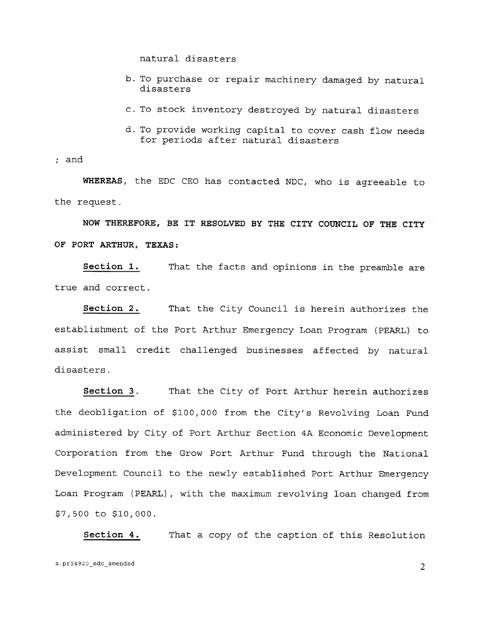natural disasters

- b. To purchase or repair machinery damaged by natural disasters
- c. To stock inventory destroyed by natural disasters
- d. To provide working capital to cover cash flow needs for periods after natural disasters

and

WHEREAS, the EDC CEO has contacted NDC, who is agreeable to the request

NOW THEREFORE, BE IT RESOLVED BY THE CITY COUNCIL OF THE CITY OF PORT ARTHUR, TEXAS:

Section 1 true and correct That the facts and opinions in the preamble are

Section 2 S:<br>That the facts and opinions in the preamble are<br>That the City Council is herein authorizes the<br>Port Arthur Emergency Loan Program (PEARL) to establishment of the Port Arthur Emergency Loan Program (PEARL) to assist small credit challenged businesses affected by natural disasters

Section 3. That the City of Port Arthur herein authorizes the deobligation of \$100,000 from the City's Revolving Loan Fund administered by City of Port Arthur Section 4A Economic Development Corporation from the Grow Port Arthur Fund through the National Development Council to the newly established Port Arthur Emergency Loan Program (PEARL), with the maximum revolving loan changed from  $$7,500$  to  $$10,000$ . Corporation from the Grow Port Arthur Fund through the National<br>Development Council to the newly established Port Arthur Emergency<br>Loan Program (PEARL), with the maximum revolving loan changed from<br>\$7,500 to \$10,000.<br><u>Sect</u>

Section 4. That a copy of the caption of this Resolution